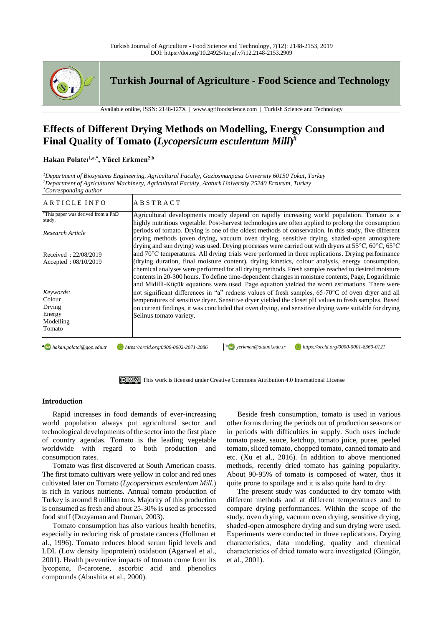

**Turkish Journal of Agriculture - Food Science and Technology**

Available online, ISSN: 2148-127X | www.agrifoodscience.com | Turkish Science and Technology

# **Effects of Different Drying Methods on Modelling, Energy Consumption and Final Quality of Tomato (***Lycopersicum esculentum Mill***) #**

# **Hakan Polatcı1,a,\*, Yücel Erkmen2,b**

*<sup>1</sup>Department of Biosystems Engineering, Agricultural Faculty, Gaziosmanpasa University 60150 Tokat, Turkey <sup>2</sup>Department of Agricultural Machinery, Agricultural Faculty, Ataturk University 25240 Erzurum, Turkey \*Corresponding author*

| ARTICLE INFO                                                   | ABSTRACT                                                                                                                                                                                                                                                                                                                                                                                                                                                                                                            |
|----------------------------------------------------------------|---------------------------------------------------------------------------------------------------------------------------------------------------------------------------------------------------------------------------------------------------------------------------------------------------------------------------------------------------------------------------------------------------------------------------------------------------------------------------------------------------------------------|
| "This paper was derived from a PhD<br>study.                   | Agricultural developments mostly depend on rapidly increasing world population. Tomato is a<br>highly nutritious vegetable. Post-harvest technologies are often applied to prolong the consumption                                                                                                                                                                                                                                                                                                                  |
| Research Article                                               | periods of tomato. Drying is one of the oldest methods of conservation. In this study, five different<br>drying methods (oven drying, vacuum oven drying, sensitive drying, shaded-open atmosphere<br>drying and sun drying) was used. Drying processes were carried out with dryers at $55^{\circ}$ C, $60^{\circ}$ C, $65^{\circ}$ C                                                                                                                                                                              |
| Received: 22/08/2019<br>Accepted: $08/10/2019$                 | and 70°C temperatures. All drying trials were performed in three replications. Drying performance<br>(drying duration, final moisture content), drying kinetics, colour analysis, energy consumption,<br>chemical analyses were performed for all drying methods. Fresh samples reached to desired moisture<br>contents in 20-300 hours. To define time-dependent changes in moisture contents, Page, Logarithmic<br>and Midilli-Küçük equations were used. Page equation yielded the worst estimations. There were |
| Keywords:<br>Colour<br>Drying<br>Energy<br>Modelling<br>Tomato | not significant differences in "a" redness values of fresh samples, 65-70°C of oven dryer and all<br>temperatures of sensitive dryer. Sensitive dryer yielded the closet pH values to fresh samples. Based<br>on current findings, it was concluded that oven drying, and sensitive drying were suitable for drying<br>Selinus tomato variety.                                                                                                                                                                      |



## **Introduction**

Rapid increases in food demands of ever-increasing world population always put agricultural sector and technological developments of the sector into the first place of country agendas. Tomato is the leading vegetable worldwide with regard to both production and consumption rates.

Tomato was first discovered at South American coasts. The first tomato cultivars were yellow in color and red ones cultivated later on Tomato (*Lycopersicum esculentum Mill*.) is rich in various nutrients. Annual tomato production of Turkey is around 8 million tons. Majority of this production is consumed as fresh and about 25-30% is used as processed food stuff (Duzyaman and Duman, 2003).

Tomato consumption has also various health benefits, especially in reducing risk of prostate cancers (Hollman et al., 1996). Tomato reduces blood serum lipid levels and LDL (Low density lipoprotein) oxidation (Agarwal et al., 2001). Health preventive impacts of tomato come from its lycopene, ß-carotene, ascorbic acid and phenolics compounds (Abushita et al., 2000).

Beside fresh consumption, tomato is used in various other forms during the periods out of production seasons or in periods with difficulties in supply. Such uses include tomato paste, sauce, ketchup, tomato juice, puree, peeled tomato, sliced tomato, chopped tomato, canned tomato and etc. (Xu et al., 2016). In addition to above mentioned methods, recently dried tomato has gaining popularity. About 90-95% of tomato is composed of water, thus it quite prone to spoilage and it is also quite hard to dry.

The present study was conducted to dry tomato with different methods and at different temperatures and to compare drying performances. Within the scope of the study, oven drying, vacuum oven drying, sensitive drying, shaded-open atmosphere drying and sun drying were used. Experiments were conducted in three replications. Drying characteristics, data modeling, quality and chemical characteristics of dried tomato were investigated (Güngör, et al., 2001).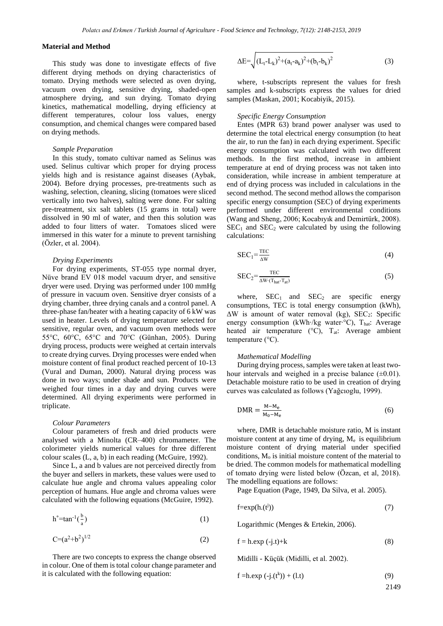## **Material and Method**

This study was done to investigate effects of five different drying methods on drying characteristics of tomato. Drying methods were selected as oven drying, vacuum oven drying, sensitive drying, shaded-open atmosphere drying, and sun drying. Tomato drying kinetics, mathematical modelling, drying efficiency at different temperatures, colour loss values, energy consumption, and chemical changes were compared based on drying methods.

#### *Sample Preparation*

In this study, tomato cultivar named as Selinus was used. Selinus cultivar which proper for drying process yields high and is resistance against diseases (Aybak, 2004). Before drying processes, pre-treatments such as washing, selection, cleaning, slicing (tomatoes were sliced vertically into two halves), salting were done. For salting pre-treatment, six salt tablets (15 grams in total) were dissolved in 90 ml of water, and then this solution was added to four litters of water. Tomatoes sliced were immersed in this water for a minute to prevent tarnishing (Özler, et al. 2004).

#### *Drying Experiments*

For drying experiments, ST-055 type normal dryer, Nüve brand EV 018 model vacuum dryer, and sensitive dryer were used. Drying was performed under 100 mmHg of pressure in vacuum oven. Sensitive dryer consists of a drying chamber, three drying canals and a control panel. A three-phase fan/heater with a heating capacity of 6 kW was used in heater. Levels of drying temperature selected for sensitive, regular oven, and vacuum oven methods were 55°C, 60°C, 65°C and 70°C (Günhan, 2005). During drying process, products were weighed at certain intervals to create drying curves. Drying processes were ended when moisture content of final product reached percent of 10-13 (Vural and Duman, 2000). Natural drying process was done in two ways; under shade and sun. Products were weighed four times in a day and drying curves were determined. All drying experiments were performed in triplicate.

#### *Colour Parameters*

Colour parameters of fresh and dried products were analysed with a Minolta (CR–400) chromameter. The colorimeter yields numerical values for three different colour scales (L, a, b) in each reading (McGuire, 1992).

Since L, a and b values are not perceived directly from the buyer and sellers in markets, these values were used to calculate hue angle and chroma values appealing color perception of humans. Hue angle and chroma values were calculated with the following equations (McGuire, 1992).

$$
h^{\circ} = \tan^{-1}\left(\frac{b}{a}\right) \tag{1}
$$

$$
C = (a^2 + b^2)^{1/2}
$$
 (2)

There are two concepts to express the change observed in colour. One of them is total colour change parameter and it is calculated with the following equation:

$$
\Delta E = \sqrt{\left(L_t \! - \! L_k\right)^2 + \left(a_t \! - \! a_k\right)^2 + \left(b_t \! - \! b_k\right)^2} \tag{3}
$$

where, t-subscripts represent the values for fresh samples and k-subscripts express the values for dried samples (Maskan, 2001; Kocabiyik, 2015).

### *Specific Energy Consumption*

Entes (MPR 63) brand power analyser was used to determine the total electrical energy consumption (to heat the air, to run the fan) in each drying experiment. Specific energy consumption was calculated with two different methods. In the first method, increase in ambient temperature at end of drying process was not taken into consideration, while increase in ambient temperature at end of drying process was included in calculations in the second method. The second method allows the comparison specific energy consumption (SEC) of drying experiments performed under different environmental conditions (Wang and Sheng, 2006; Kocabıyık and Demirtürk, 2008).  $SEC<sub>1</sub>$  and  $SEC<sub>2</sub>$  were calculated by using the following calculations:

$$
SEC1 = \frac{TEC}{\Delta W}
$$
 (4)

$$
SEC_2 = \frac{TEC}{\Delta W \cdot (T_{hat} - T_{at})}
$$
\n<sup>(5)</sup>

where,  $SEC<sub>1</sub>$  and  $SEC<sub>2</sub>$  are specific energy consumptions, TEC is total energy consumption (kWh),  $\Delta W$  is amount of water removal (kg), SEC<sub>2</sub>: Specific energy consumption (kWh⋅/kg water⋅°C), That: Average heated air temperature ( $\rm{^{\circ}C}$ ),  $\rm{T}_{at}$ : Average ambient temperature (°C).

#### *Mathematical Modelling*

During drying process, samples were taken at least twohour intervals and weighed in a precise balance  $(\pm 0.01)$ . Detachable moisture ratio to be used in creation of drying curves was calculated as follows (Yağcıoglu, 1999).

$$
DMR = \frac{M - M_e}{M_0 - M_e} \tag{6}
$$

where, DMR is detachable moisture ratio, M is instant moisture content at any time of drying,  $M_e$  is equilibrium moisture content of drying material under specified conditions,  $M<sub>o</sub>$  is initial moisture content of the material to be dried. The common models for mathematical modelling of tomato drying were listed below (Özcan, et al, 2018). The modelling equations are follows:

Page Equation (Page, 1949, Da Silva, et al. 2005).

$$
f = exp(h.(t^{j}))
$$
 (7)

Logarithmic (Menges & Ertekin, 2006).

$$
f = h. \exp(-j.t) + k \tag{8}
$$

Midilli - Küçük (Midilli, et al. 2002).

$$
f = h.exp(-j.(t^k)) + (l.t)
$$
 (9)

2149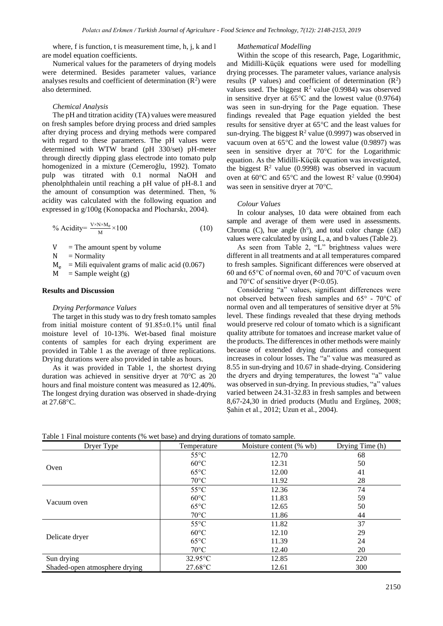where, f is function, t is measurement time, h, j, k and l are model equation coefficients.

Numerical values for the parameters of drying models were determined. Besides parameter values, variance analyses results and coefficient of determination  $(R^2)$  were also determined.

#### *Chemical Analysis*

The pH and titration acidity (TA) values were measured on fresh samples before drying process and dried samples after drying process and drying methods were compared with regard to these parameters. The pH values were determined with WTW brand (pH 330/set) pH-meter through directly dipping glass electrode into tomato pulp homogenized in a mixture (Cemeroğlu, 1992). Tomato pulp was titrated with 0.1 normal NaOH and phenolphthalein until reaching a pH value of pH-8.1 and the amount of consumption was determined. Then, % acidity was calculated with the following equation and expressed in g/100g (Konopacka and Plocharskı, 2004).

% Acidity = 
$$
\frac{V \times N \times M_e}{M} \times 100
$$
 (10)

 $V =$ The amount spent by volume

 $N = Normality$ 

 $M_e$  = Mili equivalent grams of malic acid (0.067)

 $M =$ Sample weight (g)

## **Results and Discussion**

#### *Drying Performance Values*

The target in this study was to dry fresh tomato samples from initial moisture content of 91.85±0.1% until final moisture level of 10-13%. Wet-based final moisture contents of samples for each drying experiment are provided in Table 1 as the average of three replications. Drying durations were also provided in table as hours.

As it was provided in Table 1, the shortest drying duration was achieved in sensitive dryer at 70°C as 20 hours and final moisture content was measured as 12.40%. The longest drying duration was observed in shade-drying at 27.68°C.

*Mathematical Modelling*

Within the scope of this research, Page, Logarithmic, and Midilli-Küçük equations were used for modelling drying processes. The parameter values, variance analysis results (P values) and coefficient of determination  $(R^2)$ values used. The biggest  $\mathbb{R}^2$  value (0.9984) was observed in sensitive dryer at  $65^{\circ}$ C and the lowest value (0.9764) was seen in sun-drying for the Page equation. These findings revealed that Page equation yielded the best results for sensitive dryer at 65°C and the least values for sun-drying. The biggest  $R^2$  value (0.9997) was observed in vacuum oven at  $65^{\circ}$ C and the lowest value (0.9897) was seen in sensitive dryer at  $70^{\circ}$ C for the Logarithmic equation. As the Midilli-Küçük equation was investigated, the biggest  $\mathbb{R}^2$  value (0.9998) was observed in vacuum oven at  $60^{\circ}$ C and  $65^{\circ}$ C and the lowest R<sup>2</sup> value (0.9904) was seen in sensitive dryer at 70°C.

#### *Colour Values*

In colour analyses, 10 data were obtained from each sample and average of them were used in assessments. Chroma (C), hue angle (h<sup>o</sup>), and total color change ( $\Delta E$ ) values were calculated by using L, a, and b values (Table 2).

As seen from Table 2, "L" brightness values were different in all treatments and at all temperatures compared to fresh samples. Significant differences were observed at 60 and 65°C of normal oven, 60 and 70°C of vacuum oven and  $70^{\circ}$ C of sensitive dryer (P<0.05).

Considering "a" values, significant differences were not observed between fresh samples and 65° - 70°C of normal oven and all temperatures of sensitive dryer at 5% level. These findings revealed that these drying methods would preserve red colour of tomato which is a significant quality attribute for tomatoes and increase market value of the products. The differences in other methods were mainly because of extended drying durations and consequent increases in colour losses. The "a" value was measured as 8.55 in sun-drying and 10.67 in shade-drying. Considering the dryers and drying temperatures, the lowest "a" value was observed in sun-drying. In previous studies, "a" values varied between 24.31-32.83 in fresh samples and between 8,67-24,30 in dried products (Mutlu and Ergüneş, 2008; Şahin et al., 2012; Uzun et al., 2004).

| Table 1 Final moisture contents (% wet base) and drying durations of tomato sample. |  |  |  |
|-------------------------------------------------------------------------------------|--|--|--|
|                                                                                     |  |  |  |

| Dryer Type                    | Temperature       | Moisture content (% wb) | Drying Time (h) |
|-------------------------------|-------------------|-------------------------|-----------------|
|                               | $55^{\circ}$ C    | 12.70                   | 68              |
|                               | $60^{\circ}$ C    | 12.31                   | 50              |
| Oven                          | $65^{\circ}$ C    | 12.00                   | 41              |
|                               | $70^{\circ}$ C    | 11.92                   | 28              |
|                               | $55^{\circ}$ C    | 12.36                   | 74              |
| Vacuum oven                   | $60^{\circ}$ C    | 11.83                   | 59              |
|                               | $65^{\circ}$ C    | 12.65                   | 50              |
|                               | $70^{\circ}$ C    | 11.86                   | 44              |
|                               | $55^{\circ}$ C    | 11.82                   | 37              |
|                               | $60^{\circ}$ C    | 12.10                   | 29              |
| Delicate dryer                | $65^{\circ}$ C    | 11.39                   | 24              |
|                               | $70^{\circ}$ C    | 12.40                   | 20              |
| Sun drying                    | $32.95^{\circ}$ C | 12.85                   | 220             |
| Shaded-open atmosphere drying | $27.68$ °C        | 12.61                   | 300             |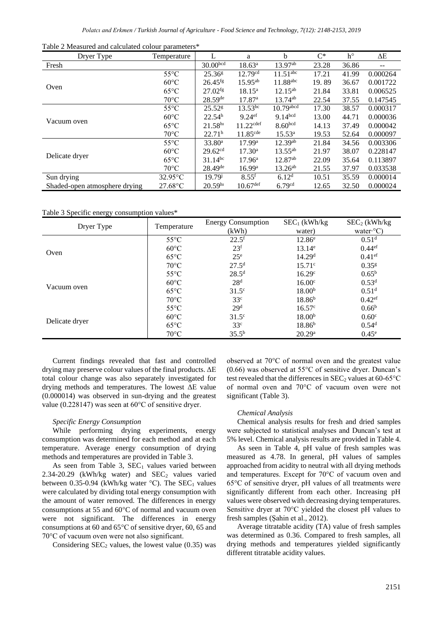| Dryer Type                    | Temperature       |                       | a                       | b                      | $C^*$ | $h^{\circ}$ | ΔE       |
|-------------------------------|-------------------|-----------------------|-------------------------|------------------------|-------|-------------|----------|
| Fresh                         |                   | 30.00 <sup>bcd</sup>  | $18.63^a$               | $13.97^{ab}$           | 23.28 | 36.86       |          |
|                               | $55^{\circ}$ C    | 25.36 <sup>g</sup>    | 12.79 <sup>cd</sup>     | $11.51$ <sup>abc</sup> | 17.21 | 41.99       | 0.000264 |
| Oven                          | $60^{\circ}$ C    | $26.45$ <sup>fg</sup> | $15.95^{ab}$            | $11.88$ abc            | 19.89 | 36.67       | 0.001722 |
|                               | $65^{\circ}$ C    | $27.02$ <sup>fg</sup> | $18.15^{\rm a}$         | $12.15^{ab}$           | 21.84 | 33.81       | 0.006525 |
|                               | $70^{\circ}$ C    | $28.59$ <sup>de</sup> | 17.87 <sup>a</sup>      | $13.74^{ab}$           | 22.54 | 37.55       | 0.147545 |
|                               | $55^{\circ}$ C    | $25.52$ <sup>g</sup>  | $13.53^{bc}$            | $10.79$ abcd           | 17.30 | 38.57       | 0.000317 |
|                               | $60^{\circ}$ C    | 22.54 <sup>h</sup>    | $9.24$ <sup>ef</sup>    | 9.14 <sup>bcd</sup>    | 13.00 | 44.71       | 0.000036 |
| Vacuum oven                   | $65^{\circ}$ C    | $21.58^{h}$           | $11.22$ <sup>cdef</sup> | 8.60 <sup>bcd</sup>    | 14.13 | 37.49       | 0.000042 |
|                               | $70^{\circ}$ C    | 22.71 <sup>h</sup>    | 11.85 <sup>cde</sup>    | $15.53^{a}$            | 19.53 | 52.64       | 0.000097 |
|                               | $55^{\circ}$ C    | $33.80^a$             | 17.99 <sup>a</sup>      | $12.39^{ab}$           | 21.84 | 34.56       | 0.003306 |
|                               | $60^{\circ}$ C    | 29.62 <sup>cd</sup>   | $17.30^{\rm a}$         | $13.55^{ab}$           | 21.97 | 38.07       | 0.228147 |
| Delicate dryer                | $65^{\circ}$ C    | $31.14^{bc}$          | $17.96^{\rm a}$         | $12.87^{ab}$           | 22.09 | 35.64       | 0.113897 |
|                               | $70^{\circ}$ C    | $28.49$ <sup>de</sup> | 16.99 <sup>a</sup>      | $13.26^{ab}$           | 21.55 | 37.97       | 0.033538 |
| Sun drying                    | $32.95^{\circ}$ C | $19.79^{j}$           | $8.55$ <sup>f</sup>     | 6.12 <sup>d</sup>      | 10.51 | 35.59       | 0.000014 |
| Shaded-open atmosphere drying | $27.68$ °C        | 20.59 <sup>h1</sup>   | $10.67$ <sup>def</sup>  | 6.79 <sup>cd</sup>     | 12.65 | 32.50       | 0.000024 |

Table 2 Measured and calculated colour parameters\*

Table 3 Specific energy consumption values\*

| Dryer Type     | Temperature    | <b>Energy Consumption</b> | $SEC_1(kWh/kg)$    | SEC <sub>2</sub> (kWh/kg) |
|----------------|----------------|---------------------------|--------------------|---------------------------|
|                |                | (kWh)                     | water)             | water $\cdot^{\circ}$ C)  |
|                | $55^{\circ}$ C | $22.5^{\rm f}$            | $12.86^e$          | 0.51 <sup>d</sup>         |
|                | $60^{\circ}$ C | 23 <sup>f</sup>           | $13.14^e$          | 0.44 <sup>ef</sup>        |
| Oven           | $65^{\circ}$ C | $25^{\circ}$              | 14.29 <sup>d</sup> | $0.41$ <sup>ef</sup>      |
|                | $70^{\circ}$ C | 27.5 <sup>d</sup>         | $15.71^{\circ}$    | 0.35 <sup>g</sup>         |
|                | $55^{\circ}$ C | $28.5^{\rm d}$            | 16.29 <sup>c</sup> | $0.65^{\rm b}$            |
|                | $60^{\circ}$ C | 28 <sup>d</sup>           | 16.00 <sup>c</sup> | 0.53 <sup>d</sup>         |
| Vacuum oven    | $65^{\circ}$ C | $31.5^\circ$              | 18.00 <sup>b</sup> | 0.51 <sup>d</sup>         |
|                | $70^{\circ}$ C | 33 <sup>c</sup>           | $18.86^{b}$        | $0.42$ <sup>ef</sup>      |
|                | $55^{\circ}$ C | 29 <sup>d</sup>           | $16.57^{\circ}$    | 0.66 <sup>b</sup>         |
|                | $60^{\circ}$ C | $31.5^\circ$              | 18.00 <sup>b</sup> | 0.60 <sup>c</sup>         |
| Delicate dryer | $65^{\circ}$ C | 33 <sup>c</sup>           | $18.86^{b}$        | $0.54^d$                  |
|                | $70^{\circ}$ C | $35.5^{b}$                | 20.29 <sup>a</sup> | $0.45^{\circ}$            |

Current findings revealed that fast and controlled drying may preserve colour values of the final products. ΔE total colour change was also separately investigated for drying methods and temperatures. The lowest ΔE value (0.000014) was observed in sun-drying and the greatest value (0.228147) was seen at 60°C of sensitive dryer.

## *Specific Energy Consumption*

While performing drying experiments, energy consumption was determined for each method and at each temperature. Average energy consumption of drying methods and temperatures are provided in Table 3.

As seen from Table 3,  $SEC<sub>1</sub>$  values varied between  $2.34-20.29$  (kWh/kg water) and SEC<sub>2</sub> values varied between 0.35-0.94 (kWh/kg water  $^{\circ}$ C). The SEC<sub>1</sub> values were calculated by dividing total energy consumption with the amount of water removed. The differences in energy consumptions at 55 and  $60^{\circ}$ C of normal and vacuum oven were not significant. The differences in energy consumptions at 60 and 65°C of sensitive dryer, 60, 65 and 70°C of vacuum oven were not also significant.

Considering  $SEC<sub>2</sub>$  values, the lowest value (0.35) was

observed at 70°C of normal oven and the greatest value (0.66) was observed at 55°C of sensitive dryer. Duncan's test revealed that the differences in  $SEC<sub>2</sub>$  values at 60-65 $°C$ of normal oven and 70°C of vacuum oven were not significant (Table 3).

#### *Chemical Analysis*

Chemical analysis results for fresh and dried samples were subjected to statistical analyses and Duncan's test at 5% level. Chemical analysis results are provided in Table 4.

As seen in Table 4, pH value of fresh samples was measured as 4.78. In general, pH values of samples approached from acidity to neutral with all drying methods and temperatures. Except for 70°C of vacuum oven and 65°C of sensitive dryer, pH values of all treatments were significantly different from each other. Increasing pH values were observed with decreasing drying temperatures. Sensitive dryer at 70°C yielded the closest pH values to fresh samples (Şahin et al., 2012).

Average titratable acidity (TA) value of fresh samples was determined as 0.36. Compared to fresh samples, all drying methods and temperatures yielded significantly different titratable acidity values.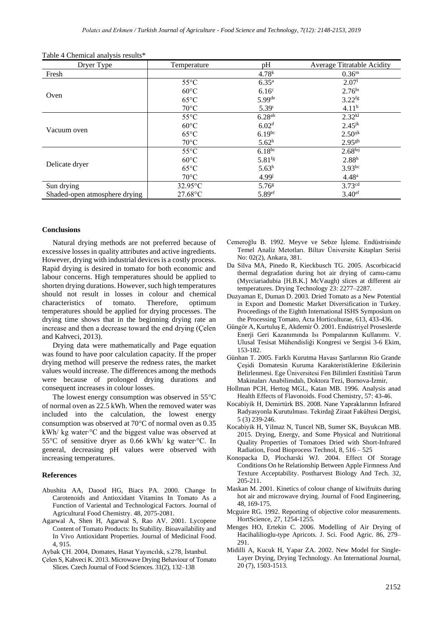| Dryer Type                    | Temperature       | pH                 | Average Titratable Acidity |
|-------------------------------|-------------------|--------------------|----------------------------|
| Fresh                         |                   | 4.78 <sup>k</sup>  | 0.36 <sup>m</sup>          |
|                               | $55^{\circ}$ C    | $6.35^{\rm a}$     | 2.07 <sup>1</sup>          |
|                               | $60^{\circ}$ C    | 6.16 <sup>c</sup>  | 2.76 <sup>h1</sup>         |
| Oven                          | $65^{\circ}$ C    | 5.99de             | $3.22$ <sup>fg</sup>       |
|                               | $70^{\circ}$ C    | 5.39 <sup>1</sup>  | 4.11 <sup>b</sup>          |
|                               | $55^{\circ}$ C    | $6.28^{ab}$        | 2.32 <sup>kl</sup>         |
|                               | $60^{\circ}$ C    | 6.02 <sup>d</sup>  | $2.45^{jk}$                |
| Vacuum oven                   | $65^{\circ}$ C    | $6.19^{bc}$        | $2.50^{ijk}$               |
|                               | $70^{\circ}$ C    | 5.62 <sup>h</sup>  | $2.95$ <sup>gh</sup>       |
|                               | $55^{\circ}$ C    | $6.18^{bc}$        | 2.68 <sup>h</sup>          |
|                               | $60^{\circ}$ C    | 5.81 <sup>fg</sup> | 2.88 <sup>h</sup>          |
| Delicate dryer                | $65^{\circ}$ C    | $5.63^h$           | $3.93^{bc}$                |
|                               | $70^{\circ}$ C    | $4.99^{j}$         | 4.48 <sup>a</sup>          |
| Sun drying                    | $32.95^{\circ}$ C | 5.76 <sup>g</sup>  | 3.73cd                     |
| Shaded-open atmosphere drying | 27.68°C           | 5.89ef             | 3.40 <sup>ef</sup>         |

| Table 4 Chemical analysis results* |  |  |
|------------------------------------|--|--|
|------------------------------------|--|--|

#### **Conclusions**

Natural drying methods are not preferred because of excessive losses in quality attributes and active ingredients. However, drying with industrial devices is a costly process. Rapid drying is desired in tomato for both economic and labour concerns. High temperatures should be applied to shorten drying durations. However, such high temperatures should not result in losses in colour and chemical characteristics of tomato. Therefore, optimum temperatures should be applied for drying processes. The drying time shows that in the beginning drying rate an increase and then a decrease toward the end drying (Çelen and Kahveci, 2013).

Drying data were mathematically and Page equation was found to have poor calculation capacity. If the proper drying method will preserve the redness rates, the market values would increase. The differences among the methods were because of prolonged drying durations and consequent increases in colour losses.

The lowest energy consumption was observed in  $55^{\circ}$ C of normal oven as 22.5 kWh. When the removed water was included into the calculation, the lowest energy consumption was observed at  $70^{\circ}$ C of normal oven as 0.35 kWh/ kg water∙°C and the biggest value was observed at 55C of sensitive dryer as 0.66 kWh/ kg water∙°C. In general, decreasing pH values were observed with increasing temperatures.

#### **References**

- Abushita AA, Daood HG, Biacs PA. 2000. Change In Carotenoids and Antioxidant Vitamins In Tomato As a Function of Variental and Technological Factors. Journal of Agricultural Food Chemistry. 48, 2075-2081.
- Agarwal A, Shen H, Agarwal S, Rao AV. 2001. Lycopene Content of Tomato Products: Its Stability. Bioavailability and In Vivo Antioxidant Properties. Journal of Medicinal Food. 4, 915.

Aybak ÇH. 2004, Domates, Hasat Yayıncılık, s.278, İstanbul.

Çelen S, Kahveci K. 2013. Microwave Drying Behaviour of Tomato Slices. Czech Journal of Food Sciences. 31(2), 132–138

- Cemeroğlu B. 1992. Meyve ve Sebze İşleme. Endüstrisinde Temel Analiz Metotları. Biltav Üniversite Kitapları Serisi No: 02(2), Ankara, 381.
- Da Silva MA, Pinedo R, Kieckbusch TG. 2005. Ascorbicacid thermal degradation during hot air drying of camu-camu (Myrciariadubia [H.B.K.] McVaugh) slices at different air temperatures. Drying Technology 23: 2277–2287.
- Duzyaman E, Duman D. 2003. Dried Tomato as a New Potential in Export and Domestic Market Diversification in Turkey. Proceedings of the Eighth International ISHS Symposium on the Processing Tomato, Acta Horticulturae, 613, 433-436.
- Güngör A, Kurtuluş E, Akdemir Ö. 2001. Endüstriyel Proseslerde Enerji Geri Kazanımında Isı Pompalarının Kullanımı. V. Ulusal Tesisat Mühendisliği Kongresi ve Sergisi 3-6 Ekim, 153-182.
- Günhan T. 2005. Farklı Kurutma Havası Şartlarının Rio Grande Çeşidi Domatesin Kuruma Karakteristiklerine Etkilerinin Belirlenmesi. Ege Üniversitesi Fen Bilimleri Enstitüsü Tarım Makinaları Anabilimdalı, Doktora Tezi, Bornova-İzmir,
- Hollman PCH, Hertog MGL, Katan MB. 1996. Analysis anad Health Effects of Flavonoids. Food Chemistry, 57: 43-46.
- Kocabiyik H, Demirtürk BS. 2008. Nane Yapraklarının İnfrared Radyasyonla Kurutulması. Tekirdağ Ziraat Fakültesi Dergisi, 5 (3) 239-246.
- Kocabiyik H, Yilmaz N, Tuncel NB, Sumer SK, Buyukcan MB. 2015. Drying, Energy, and Some Physical and Nutritional Quality Properties of Tomatoes Dried with Short-Infrared Radiation, Food Bioprocess Technol, 8, 516 – 525
- Konopacka D, Plocharski WJ. 2004. Effect Of Storage Conditions On he Relationship Between Apple Firmness And Texture Acceptability. Postharvest Biology And Tech. 32, 205-211.
- Maskan M. 2001. Kinetics of colour change of kiwifruits during hot air and microwave drying. Journal of Food Engineering, 48, 169-175.
- Mcguire RG. 1992. Reporting of objective color measurements. HortScience, 27, 1254-1255.
- Menges HO, Ertekin C. 2006. Modelling of Air Drying of Hacihalilioglu-type Apricots. J. Sci. Food Agric. 86, 279– 291.
- Midilli A, Kucuk H, Yapar ZA. 2002. New Model for Single-Layer Drying, Drying Technology. An International Journal, 20 (7), 1503-1513.